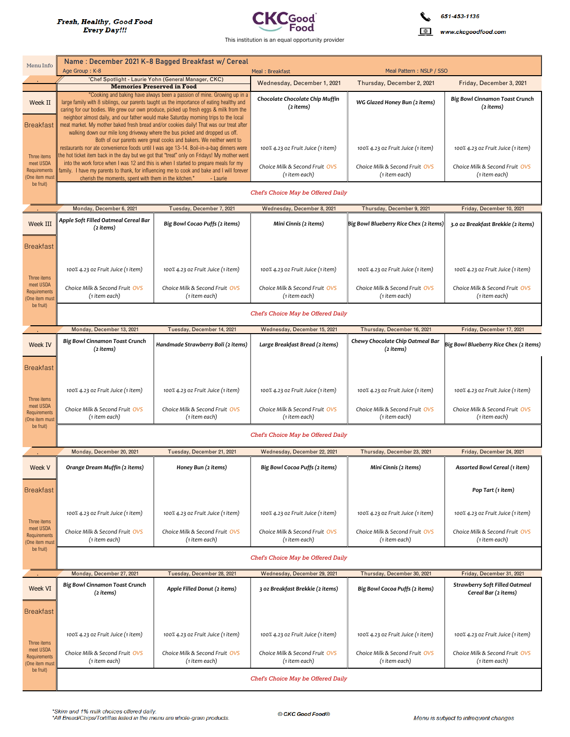

651-453-1136  $\hat{\mathbf{v}}$ 

www.ckcgoodfood.com

| Menu Info                                   |                                                                                                                                                                                                                                                               | Name: December 2021 K-8 Bagged Breakfast w/ Cereal                                                                                                                                                                                                              |                                                 |                                                 |                                                               |  |  |
|---------------------------------------------|---------------------------------------------------------------------------------------------------------------------------------------------------------------------------------------------------------------------------------------------------------------|-----------------------------------------------------------------------------------------------------------------------------------------------------------------------------------------------------------------------------------------------------------------|-------------------------------------------------|-------------------------------------------------|---------------------------------------------------------------|--|--|
|                                             | Age Group: K-8<br>'Chef Spotlight - Laurie Yohn (General Manager, CKC)                                                                                                                                                                                        |                                                                                                                                                                                                                                                                 | Meal: Breakfast                                 | Meal Pattern: NSLP / SSO                        |                                                               |  |  |
|                                             |                                                                                                                                                                                                                                                               | <b>Memories Preserved in Food</b><br>"Cooking and baking have always been a passion of mine. Growing up in a                                                                                                                                                    | Wednesday, December 1, 2021                     | Thursday, December 2, 2021                      | Friday, December 3, 2021                                      |  |  |
| Week II                                     |                                                                                                                                                                                                                                                               | large family with 8 siblings, our parents taught us the importance of eating healthy and<br>caring for our bodies. We grew our own produce, picked up fresh eggs & milk from the                                                                                | Chocolate Chocolate Chip Muffin<br>(2 items)    | WG Glazed Honey Bun (2 items)                   | <b>Big Bowl Cinnamon Toast Crunch</b><br>(2 items)            |  |  |
| <b>Breakfast</b>                            |                                                                                                                                                                                                                                                               | neighbor almost daily, and our father would make Saturday morning trips to the local<br>meat market. My mother baked fresh bread and/or cookies daily! That was our treat after<br>walking down our mile long driveway where the bus picked and dropped us off. |                                                 |                                                 |                                                               |  |  |
| Three items                                 | Both of our parents were great cooks and bakers. We neither went to<br>restaurants nor ate convenience foods until I was age 13-14. Boil-in-a-bag dinners were<br>the hot ticket item back in the day but we got that "treat" only on Fridays! My mother went |                                                                                                                                                                                                                                                                 | 100% 4.23 oz Fruit Juice (1 item)               | 100% 4.23 oz Fruit Juice (1 item)               | 100% 4.23 oz Fruit Juice (1 item)                             |  |  |
| meet USDA<br>Requirements<br>(One item must | into the work force when I was 12 and this is when I started to prepare meals for my<br>family. I have my parents to thank, for influencing me to cook and bake and I will forever<br>cherish the moments, spent with them in the kitchen."<br>- Laurie       |                                                                                                                                                                                                                                                                 | Choice Milk & Second Fruit OVS<br>(1 item each) | Choice Milk & Second Fruit OVS<br>(1 item each) | Choice Milk & Second Fruit OVS<br>(1 item each)               |  |  |
| be fruit)                                   | Chef's Choice May be Offered Daily                                                                                                                                                                                                                            |                                                                                                                                                                                                                                                                 |                                                 |                                                 |                                                               |  |  |
|                                             | Monday, December 6, 2021<br>Tuesday, December 7, 2021<br>Wednesday, December 8, 2021<br>Thursday, December 9, 2021<br>Friday, December 10, 2021                                                                                                               |                                                                                                                                                                                                                                                                 |                                                 |                                                 |                                                               |  |  |
| Week III                                    | Apple Soft Filled Oatmeal Cereal Bar<br>(2 items)                                                                                                                                                                                                             | Big Bowl Cocao Puffs (2 items)                                                                                                                                                                                                                                  | Mini Cinnis (2 items)                           | Big Bowl Blueberry Rice Chex (2 items)          | 3.0 oz Breakfast Brekkie (2 items)                            |  |  |
| <b>Breakfast</b>                            |                                                                                                                                                                                                                                                               |                                                                                                                                                                                                                                                                 |                                                 |                                                 |                                                               |  |  |
| Three items                                 | 100% 4.23 oz Fruit Juice (1 item)                                                                                                                                                                                                                             | 100% 4.23 oz Fruit Juice (1 item)                                                                                                                                                                                                                               | 100% 4.23 oz Fruit Juice (1 item)               | 100% 4.23 oz Fruit Juice (1 item)               | 100% 4.23 oz Fruit Juice (1 item)                             |  |  |
| meet USDA<br>Requirements<br>(One item must | Choice Milk & Second Fruit OVS<br>(1 item each)                                                                                                                                                                                                               | Choice Milk & Second Fruit OVS<br>(1 item each)                                                                                                                                                                                                                 | Choice Milk & Second Fruit OVS<br>(1 item each) | Choice Milk & Second Fruit OVS<br>(1 item each) | Choice Milk & Second Fruit OVS<br>(1 item each)               |  |  |
| be fruit)                                   | Chef's Choice May be Offered Daily                                                                                                                                                                                                                            |                                                                                                                                                                                                                                                                 |                                                 |                                                 |                                                               |  |  |
|                                             | Monday, December 13, 2021<br>Tuesday, December 14, 2021<br>Wednesday, December 15, 2021<br>Thursday, December 16, 2021<br>Friday, December 17, 2021                                                                                                           |                                                                                                                                                                                                                                                                 |                                                 |                                                 |                                                               |  |  |
| <b>Week IV</b>                              | <b>Big Bowl Cinnamon Toast Crunch</b><br>(2 items)                                                                                                                                                                                                            | Handmade Strawberry Boli (2 items)                                                                                                                                                                                                                              | Large Breakfast Bread (2 items)                 | Chewy Chocolate Chip Oatmeal Bar<br>(2 items)   | Big Bowl Blueberry Rice Chex (2 items)                        |  |  |
| <b>Breakfast</b>                            |                                                                                                                                                                                                                                                               |                                                                                                                                                                                                                                                                 |                                                 |                                                 |                                                               |  |  |
| Three items                                 | 100% 4.23 oz Fruit Juice (1 item)                                                                                                                                                                                                                             | 100% 4.23 oz Fruit Juice (1 item)                                                                                                                                                                                                                               | 100% 4.23 oz Fruit Juice (1 item)               | 100% 4.23 oz Fruit Juice (1 item)               | 100% 4.23 oz Fruit Juice (1 item)                             |  |  |
| meet USDA<br>Requirements<br>(One item must | Choice Milk & Second Fruit OVS<br>(1 item each)                                                                                                                                                                                                               | Choice Milk & Second Fruit OVS<br>(1 item each)                                                                                                                                                                                                                 | Choice Milk & Second Fruit OVS<br>(1 item each) | Choice Milk & Second Fruit OVS<br>(1 item each) | Choice Milk & Second Fruit OVS<br>(1 item each)               |  |  |
| be fruit)                                   | Chef's Choice May be Offered Daily                                                                                                                                                                                                                            |                                                                                                                                                                                                                                                                 |                                                 |                                                 |                                                               |  |  |
|                                             | Monday, December 20, 2021                                                                                                                                                                                                                                     | Tuesday, December 21, 2021                                                                                                                                                                                                                                      | Wednesday, December 22, 2021                    | Thursday, December 23, 2021                     | Friday, December 24, 2021                                     |  |  |
| Week V                                      | Orange Dream Muffin (2 items)                                                                                                                                                                                                                                 | Honey Bun (2 items)                                                                                                                                                                                                                                             | Big Bowl Cocoa Puffs (2 items)                  | Mini Cinnis (2 items)                           | Assorted Bowl Cereal (1 item)                                 |  |  |
| <b>Breakfast</b>                            |                                                                                                                                                                                                                                                               |                                                                                                                                                                                                                                                                 |                                                 |                                                 | Pop Tart (1 item)                                             |  |  |
| Three items                                 | 100% 4.23 oz Fruit Juice (1 item)                                                                                                                                                                                                                             | 100% 4.23 oz Fruit Juice (1 item)                                                                                                                                                                                                                               | 100% 4.23 oz Fruit Juice (1 item)               | 100% 4.23 oz Fruit Juice (1 item)               | 100% 4.23 oz Fruit Juice (1 item)                             |  |  |
| meet USDA<br>Requirements<br>(One item must | Choice Milk & Second Fruit OVS<br>(1 item each)                                                                                                                                                                                                               | Choice Milk & Second Fruit OVS<br>(1 item each)                                                                                                                                                                                                                 | Choice Milk & Second Fruit OVS<br>(1 item each) | Choice Milk & Second Fruit OVS<br>(1 item each) | Choice Milk & Second Fruit OVS<br>(1 item each)               |  |  |
| be fruit)                                   | Chef's Choice May be Offered Daily                                                                                                                                                                                                                            |                                                                                                                                                                                                                                                                 |                                                 |                                                 |                                                               |  |  |
|                                             | Monday, December 27, 2021                                                                                                                                                                                                                                     | Tuesday, December 28, 2021                                                                                                                                                                                                                                      | Wednesday, December 29, 2021                    | Thursday, December 30, 2021                     | Friday, December 31, 2021                                     |  |  |
| Week VI                                     | <b>Big Bowl Cinnamon Toast Crunch</b><br>(2 items)                                                                                                                                                                                                            | Apple Filled Donut (2 items)                                                                                                                                                                                                                                    | 3 oz Breakfast Brekkie (2 items)                | Big Bowl Cocoa Puffs (2 items)                  | <b>Strawberry Soft Filled Oatmeal</b><br>Cereal Bar (2 items) |  |  |
| <b>Breakfast</b>                            |                                                                                                                                                                                                                                                               |                                                                                                                                                                                                                                                                 |                                                 |                                                 |                                                               |  |  |
| Three items                                 | 100% 4.23 oz Fruit Juice (1 item)                                                                                                                                                                                                                             | 100% 4.23 oz Fruit Juice (1 item)                                                                                                                                                                                                                               | 100% 4.23 oz Fruit Juice (1 item)               | 100% 4.23 oz Fruit Juice (1 item)               | 100% 4.23 oz Fruit Juice (1 item)                             |  |  |
| meet USDA<br>Requirements<br>(One item must | Choice Milk & Second Fruit OVS<br>(1 item each)                                                                                                                                                                                                               | Choice Milk & Second Fruit OVS<br>(1 item each)                                                                                                                                                                                                                 | Choice Milk & Second Fruit OVS<br>(1 item each) | Choice Milk & Second Fruit OVS<br>(1 item each) | Choice Milk & Second Fruit OVS<br>(1 item each)               |  |  |
| be fruit)                                   | Chef's Choice May be Offered Daily                                                                                                                                                                                                                            |                                                                                                                                                                                                                                                                 |                                                 |                                                 |                                                               |  |  |